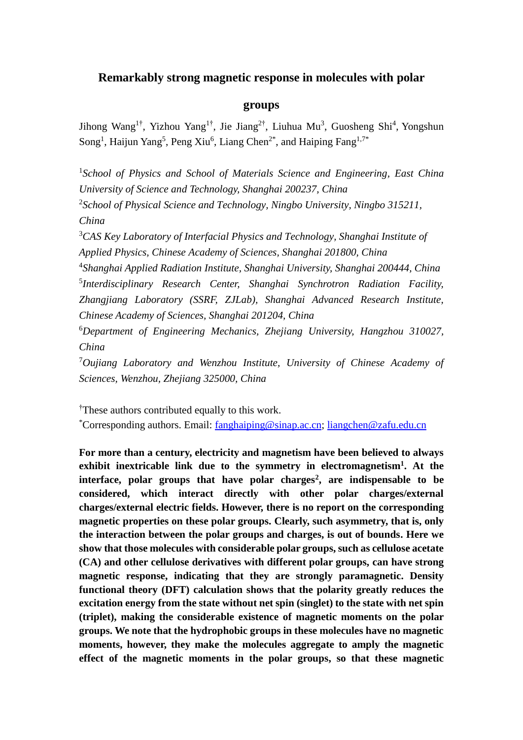## **Remarkably strong magnetic response in molecules with polar**

## **groups**

Jihong Wang<sup>1†</sup>, Yizhou Yang<sup>1†</sup>, Jie Jiang<sup>2†</sup>, Liuhua Mu<sup>3</sup>, Guosheng Shi<sup>4</sup>, Yongshun Song<sup>1</sup>, Haijun Yang<sup>5</sup>, Peng Xiu<sup>6</sup>, Liang Chen<sup>2\*</sup>, and Haiping Fang<sup>1,7\*</sup>

<sup>1</sup>School of Physics and School of Materials Science and Engineering, East China *University of Science and Technology, Shanghai 200237, China* 2 *School of Physical Science and Technology, Ningbo University, Ningbo 315211, China* <sup>3</sup>*CAS Key Laboratory of Interfacial Physics and Technology, Shanghai Institute of* 

*Applied Physics, Chinese Academy of Sciences, Shanghai 201800, China*

4 *Shanghai Applied Radiation Institute, Shanghai University, Shanghai 200444, China* 5 *Interdisciplinary Research Center, Shanghai Synchrotron Radiation Facility, Zhangjiang Laboratory (SSRF, ZJLab), Shanghai Advanced Research Institute, Chinese Academy of Sciences, Shanghai 201204, China*

<sup>6</sup>*Department of Engineering Mechanics, Zhejiang University, Hangzhou 310027, China*

<sup>7</sup>*Oujiang Laboratory and Wenzhou Institute, University of Chinese Academy of Sciences, Wenzhou, Zhejiang 325000, China*

†These authors contributed equally to this work.

\*Corresponding authors. Email: [fanghaiping@sinap.ac.cn;](mailto:fanghaiping@sinap.ac.cn) [liangchen@zafu.edu.cn](mailto:chenliang2@nbu.edu.cn)

**For more than a century, electricity and magnetism have been believed to always exhibit inextricable link due to the symmetry in electromagnetism<sup>1</sup> . At the interface, polar groups that have polar charges<sup>2</sup> , are indispensable to be considered, which interact directly with other polar charges/external charges/external electric fields. However, there is no report on the corresponding magnetic properties on these polar groups. Clearly, such asymmetry, that is, only the interaction between the polar groups and charges, is out of bounds. Here we show that those molecules with considerable polar groups, such as cellulose acetate (CA) and other cellulose derivatives with different polar groups, can have strong magnetic response, indicating that they are strongly paramagnetic. Density functional theory (DFT) calculation shows that the polarity greatly reduces the excitation energy from the state without net spin (singlet) to the state with net spin (triplet), making the considerable existence of magnetic moments on the polar groups. We note that the hydrophobic groups in these molecules have no magnetic moments, however, they make the molecules aggregate to amply the magnetic effect of the magnetic moments in the polar groups, so that these magnetic**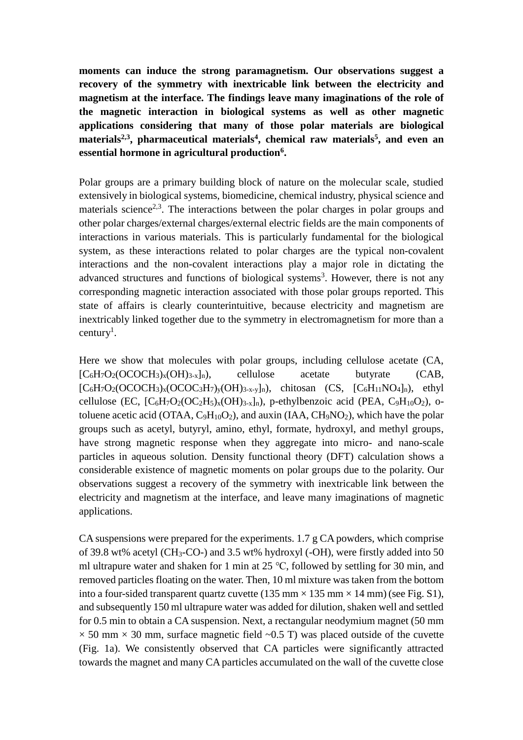**moments can induce the strong paramagnetism. Our observations suggest a recovery of the symmetry with inextricable link between the electricity and magnetism at the interface. The findings leave many imaginations of the role of the magnetic interaction in biological systems as well as other magnetic applications considering that many of those polar materials are biological materials 2,3 , pharmaceutical materials<sup>4</sup> , chemical raw materials<sup>5</sup> , and even an essential hormone in agricultural production<sup>6</sup> .**

Polar groups are a primary building block of nature on the molecular scale, studied extensively in biological systems, biomedicine, chemical industry, physical science and materials science<sup>2,3</sup>. The interactions between the polar charges in polar groups and other polar charges/external charges/external electric fields are the main components of interactions in various materials. This is particularly fundamental for the biological system, as these interactions related to polar charges are the typical non-covalent interactions and the non-covalent interactions play a major role in dictating the advanced structures and functions of biological systems<sup>3</sup>. However, there is not any corresponding magnetic interaction associated with those polar groups reported. This state of affairs is clearly counterintuitive, because electricity and magnetism are inextricably linked together due to the symmetry in electromagnetism for more than a century<sup>1</sup>.

Here we show that molecules with polar groups, including cellulose acetate (CA,  $[C_6H_7O_2(OCOCH_3)_x(OH)_3_x]_n$ , cellulose acetate butyrate (CAB,  $[C_6H_7O_2(OCOCH_3)_x(OCOC_3H_7)_y(OH)_{3-x-y}]_n$ , chitosan  $(CS, [C_6H_{11}NO_4]_n)$ , ethyl cellulose (EC,  $[C_6H_7O_2({\rm OC}_2H_5)_x({\rm OH})_{3-x}]_n$ ), p-ethylbenzoic acid (PEA,  $C_9H_{10}O_2$ ), otoluene acetic acid (OTAA,  $C_9H_{10}O_2$ ), and auxin (IAA, CH<sub>9</sub>NO<sub>2</sub>), which have the polar groups such as acetyl, butyryl, amino, ethyl, formate, hydroxyl, and methyl groups, have strong magnetic response when they aggregate into micro- and nano-scale particles in aqueous solution. Density functional theory (DFT) calculation shows a considerable existence of magnetic moments on polar groups due to the polarity. Our observations suggest a recovery of the symmetry with inextricable link between the electricity and magnetism at the interface, and leave many imaginations of magnetic applications.

CA suspensions were prepared for the experiments. 1.7 g CA powders, which comprise of 39.8 wt% acetyl (CH3-CO-) and 3.5 wt% hydroxyl (-OH), were firstly added into 50 ml ultrapure water and shaken for 1 min at 25 ℃, followed by settling for 30 min, and removed particles floating on the water. Then, 10 ml mixture was taken from the bottom into a four-sided transparent quartz cuvette (135 mm  $\times$ 135 mm  $\times$ 14 mm) (see Fig. S1), and subsequently 150 ml ultrapure water was added for dilution, shaken well and settled for 0.5 min to obtain a CA suspension. Next, a rectangular neodymium magnet (50 mm  $\times$  50 mm  $\times$  30 mm, surface magnetic field  $\sim$ 0.5 T) was placed outside of the cuvette (Fig. 1a). We consistently observed that CA particles were significantly attracted towards the magnet and many CA particles accumulated on the wall of the cuvette close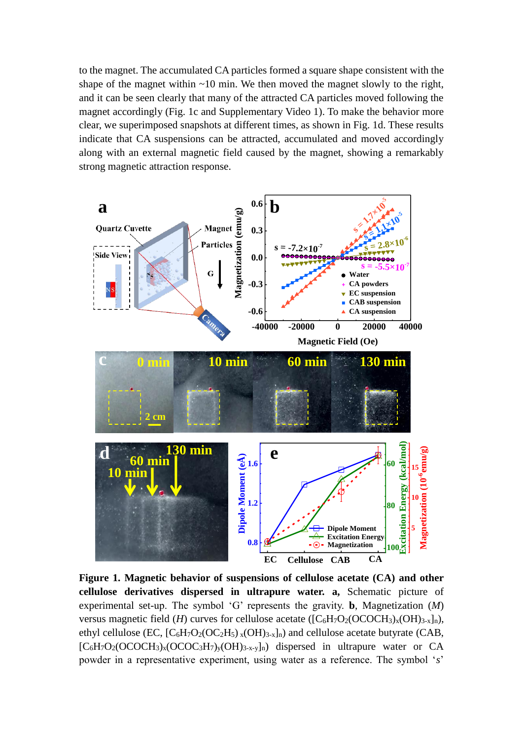to the magnet. The accumulated CA particles formed a square shape consistent with the shape of the magnet within  $\sim 10$  min. We then moved the magnet slowly to the right, and it can be seen clearly that many of the attracted CA particles moved following the magnet accordingly (Fig. 1c and Supplementary Video 1). To make the behavior more clear, we superimposed snapshots at different times, as shown in Fig. 1d. These results indicate that CA suspensions can be attracted, accumulated and moved accordingly along with an external magnetic field caused by the magnet, showing a remarkably strong magnetic attraction response.



**Figure 1. Magnetic behavior of suspensions of cellulose acetate (CA) and other cellulose derivatives dispersed in ultrapure water. a,** Schematic picture of experimental set-up. The symbol 'G' represents the gravity. **b**, Magnetization (*M*) versus magnetic field (*H*) curves for cellulose acetate ( $[C_6H_7O_2(OCOCH_3)_x(OH)_{3-x}]_n$ ), ethyl cellulose (EC,  $[C_6H_7O_2(OC_2H_5)_{x}(OH)_{3-x}]_n$ ) and cellulose acetate butyrate (CAB,  $[C_6H_7O_2(OCOCH_3)_x(OCOC_3H_7)_y(OH)_{3-x-y}]_n$  dispersed in ultrapure water or CA powder in a representative experiment, using water as a reference. The symbol '*s*'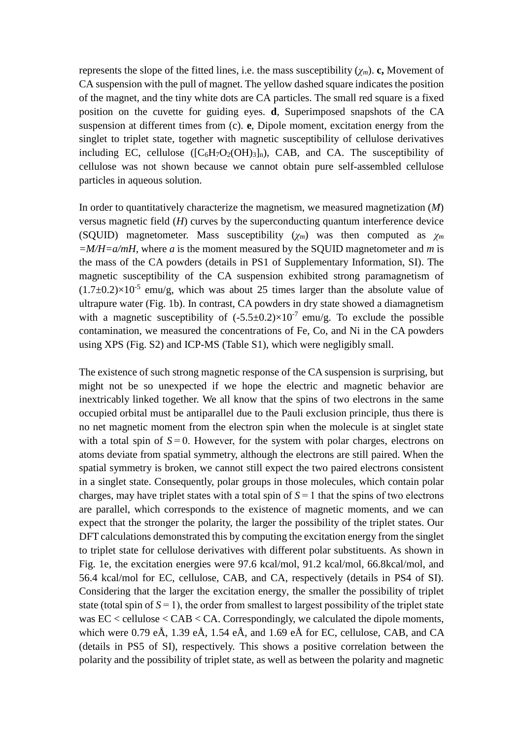represents the slope of the fitted lines, i.e. the mass susceptibility  $(\chi_m)$ . **c**, Movement of CA suspension with the pull of magnet. The yellow dashed square indicates the position of the magnet, and the tiny white dots are CA particles. The small red square is a fixed position on the cuvette for guiding eyes. **d**, Superimposed snapshots of the CA suspension at different times from (c). **e**, Dipole moment, excitation energy from the singlet to triplet state, together with magnetic susceptibility of cellulose derivatives including EC, cellulose  $([C_6H_7O_2(OH)_3]_n)$ , CAB, and CA. The susceptibility of cellulose was not shown because we cannot obtain pure self-assembled cellulose particles in aqueous solution.

In order to quantitatively characterize the magnetism, we measured magnetization (*M*) versus magnetic field (*H*) curves by the superconducting quantum interference device (SQUID) magnetometer. Mass susceptibility  $(\gamma_m)$  was then computed as  $\gamma_m$ *=M/H=a/mH*, where *a* is the moment measured by the SQUID magnetometer and *m* is the mass of the CA powders (details in PS1 of Supplementary Information, SI). The magnetic susceptibility of the CA suspension exhibited strong paramagnetism of  $(1.7 \pm 0.2) \times 10^{-5}$  emu/g, which was about 25 times larger than the absolute value of ultrapure water (Fig. 1b). In contrast, CA powders in dry state showed a diamagnetism with a magnetic susceptibility of  $(-5.5\pm 0.2)\times 10^{-7}$  emu/g. To exclude the possible contamination, we measured the concentrations of Fe, Co, and Ni in the CA powders using XPS (Fig. S2) and ICP-MS (Table S1), which were negligibly small.

The existence of such strong magnetic response of the CA suspension is surprising, but might not be so unexpected if we hope the electric and magnetic behavior are inextricably linked together. We all know that the spins of two electrons in the same occupied orbital must be antiparallel due to the Pauli exclusion principle, thus there is no net magnetic moment from the electron spin when the molecule is at singlet state with a total spin of  $S = 0$ . However, for the system with polar charges, electrons on atoms deviate from spatial symmetry, although the electrons are still paired. When the spatial symmetry is broken, we cannot still expect the two paired electrons consistent in a singlet state. Consequently, polar groups in those molecules, which contain polar charges, may have triplet states with a total spin of  $S = 1$  that the spins of two electrons are parallel, which corresponds to the existence of magnetic moments, and we can expect that the stronger the polarity, the larger the possibility of the triplet states. Our DFT calculations demonstrated this by computing the excitation energy from the singlet to triplet state for cellulose derivatives with different polar substituents. As shown in Fig. 1e, the excitation energies were 97.6 kcal/mol, 91.2 kcal/mol, 66.8kcal/mol, and 56.4 kcal/mol for EC, cellulose, CAB, and CA, respectively (details in PS4 of SI). Considering that the larger the excitation energy, the smaller the possibility of triplet state (total spin of  $S = 1$ ), the order from smallest to largest possibility of the triplet state was EC < cellulose < CAB < CA. Correspondingly, we calculated the dipole moments, which were 0.79  $e\text{\AA}$ , 1.39  $e\text{\AA}$ , 1.54  $e\text{\AA}$ , and 1.69  $e\text{\AA}$  for EC, cellulose, CAB, and CA (details in PS5 of SI), respectively. This shows a positive correlation between the polarity and the possibility of triplet state, as well as between the polarity and magnetic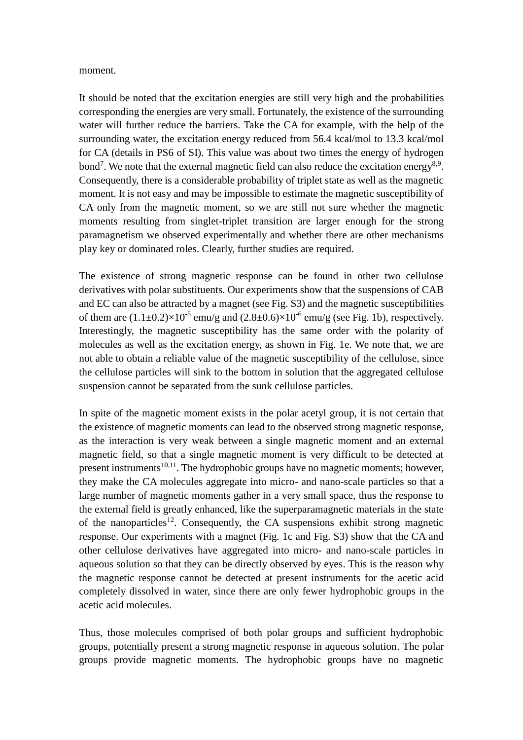## moment.

It should be noted that the excitation energies are still very high and the probabilities corresponding the energies are very small. Fortunately, the existence of the surrounding water will further reduce the barriers. Take the CA for example, with the help of the surrounding water, the excitation energy reduced from 56.4 kcal/mol to 13.3 kcal/mol for CA (details in PS6 of SI). This value was about two times the energy of hydrogen bond<sup>7</sup>. We note that the external magnetic field can also reduce the excitation energy<sup>8,9</sup>. Consequently, there is a considerable probability of triplet state as well as the magnetic moment. It is not easy and may be impossible to estimate the magnetic susceptibility of CA only from the magnetic moment, so we are still not sure whether the magnetic moments resulting from singlet-triplet transition are larger enough for the strong paramagnetism we observed experimentally and whether there are other mechanisms play key or dominated roles. Clearly, further studies are required.

The existence of strong magnetic response can be found in other two cellulose derivatives with polar substituents. Our experiments show that the suspensions of CAB and EC can also be attracted by a magnet (see Fig. S3) and the magnetic susceptibilities of them are  $(1.1 \pm 0.2) \times 10^{-5}$  emu/g and  $(2.8 \pm 0.6) \times 10^{-6}$  emu/g (see Fig. 1b), respectively. Interestingly, the magnetic susceptibility has the same order with the polarity of molecules as well as the excitation energy, as shown in Fig. 1e. We note that, we are not able to obtain a reliable value of the magnetic susceptibility of the cellulose, since the cellulose particles will sink to the bottom in solution that the aggregated cellulose suspension cannot be separated from the sunk cellulose particles.

In spite of the magnetic moment exists in the polar acetyl group, it is not certain that the existence of magnetic moments can lead to the observed strong magnetic response, as the interaction is very weak between a single magnetic moment and an external magnetic field, so that a single magnetic moment is very difficult to be detected at present instruments<sup>10,11</sup>. The hydrophobic groups have no magnetic moments; however, they make the CA molecules aggregate into micro- and nano-scale particles so that a large number of magnetic moments gather in a very small space, thus the response to the external field is greatly enhanced, like the superparamagnetic materials in the state of the nanoparticles<sup>12</sup>. Consequently, the CA suspensions exhibit strong magnetic response. Our experiments with a magnet (Fig. 1c and Fig. S3) show that the CA and other cellulose derivatives have aggregated into micro- and nano-scale particles in aqueous solution so that they can be directly observed by eyes. This is the reason why the magnetic response cannot be detected at present instruments for the acetic acid completely dissolved in water, since there are only fewer hydrophobic groups in the acetic acid molecules.

Thus, those molecules comprised of both polar groups and sufficient hydrophobic groups, potentially present a strong magnetic response in aqueous solution. The polar groups provide magnetic moments. The hydrophobic groups have no magnetic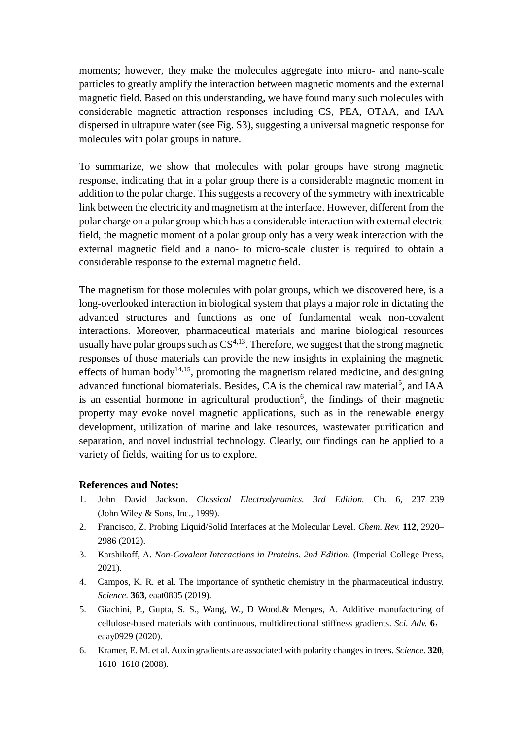moments; however, they make the molecules aggregate into micro- and nano-scale particles to greatly amplify the interaction between magnetic moments and the external magnetic field. Based on this understanding, we have found many such molecules with considerable magnetic attraction responses including CS, PEA, OTAA, and IAA dispersed in ultrapure water (see Fig. S3), suggesting a universal magnetic response for molecules with polar groups in nature.

To summarize, we show that molecules with polar groups have strong magnetic response, indicating that in a polar group there is a considerable magnetic moment in addition to the polar charge. This suggests a recovery of the symmetry with inextricable link between the electricity and magnetism at the interface. However, different from the polar charge on a polar group which has a considerable interaction with external electric field, the magnetic moment of a polar group only has a very weak interaction with the external magnetic field and a nano- to micro-scale cluster is required to obtain a considerable response to the external magnetic field.

The magnetism for those molecules with polar groups, which we discovered here, is a long-overlooked interaction in biological system that plays a major role in dictating the advanced structures and functions as one of fundamental weak non-covalent interactions. Moreover, pharmaceutical materials and marine biological resources usually have polar groups such as  $CS^{4,13}$ . Therefore, we suggest that the strong magnetic responses of those materials can provide the new insights in explaining the magnetic effects of human body<sup>14,15</sup>, promoting the magnetism related medicine, and designing advanced functional biomaterials. Besides, CA is the chemical raw material<sup>5</sup>, and IAA is an essential hormone in agricultural production<sup>6</sup>, the findings of their magnetic property may evoke novel magnetic applications, such as in the renewable energy development, utilization of marine and lake resources, wastewater purification and separation, and novel industrial technology. Clearly, our findings can be applied to a variety of fields, waiting for us to explore.

## **References and Notes:**

- 1. John David Jackson. *Classical Electrodynamics. 3rd Edition.* Ch. 6, 237–239 (John Wiley & Sons, Inc., 1999).
- 2. Francisco, Z. Probing Liquid/Solid Interfaces at the Molecular Level. *Chem. Rev.* **112**, 2920– 2986 (2012).
- 3. Karshikoff, A. *Non-Covalent Interactions in Proteins. 2nd Edition.* (Imperial College Press, 2021).
- 4. Campos, K. R. et al. The importance of synthetic chemistry in the pharmaceutical industry. *Science.* **363**, eaat0805 (2019).
- 5. Giachini, P., Gupta, S. S., Wang, W., D Wood.& Menges, A. Additive manufacturing of cellulose-based materials with continuous, multidirectional stiffness gradients. *Sci. Adv.* **6**, eaay0929 (2020).
- 6. Kramer, E. M. et al. Auxin gradients are associated with polarity changes in trees. *Science*. **320**, 1610–1610 (2008).